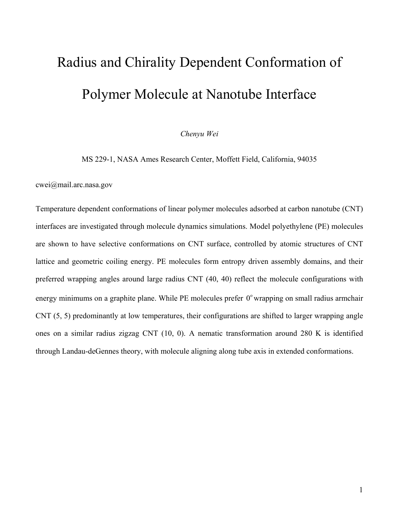## Radius and Chirality Dependent Conformation of Polymer Molecule at Nanotube Interface

## *Chenyu Wei*

MS 229-1, NASA Ames Research Center, Moffett Field, California, 94035

cwei@mail.arc.nasa.gov

Temperature dependent conformations of linear polymer molecules adsorbed at carbon nanotube (CNT) interfaces are investigated through molecule dynamics simulations. Model polyethylene (PE) molecules are shown to have selective conformations on CNT surface, controlled by atomic structures of CNT lattice and geometric coiling energy. PE molecules form entropy driven assembly domains, and their preferred wrapping angles around large radius CNT (40, 40) reflect the molecule configurations with energy minimums on a graphite plane. While PE molecules prefer  $0^{\circ}$  wrapping on small radius armchair CNT (5, 5) predominantly at low temperatures, their configurations are shifted to larger wrapping angle ones on a similar radius zigzag CNT (10, 0). A nematic transformation around 280 K is identified through Landau-deGennes theory, with molecule aligning along tube axis in extended conformations.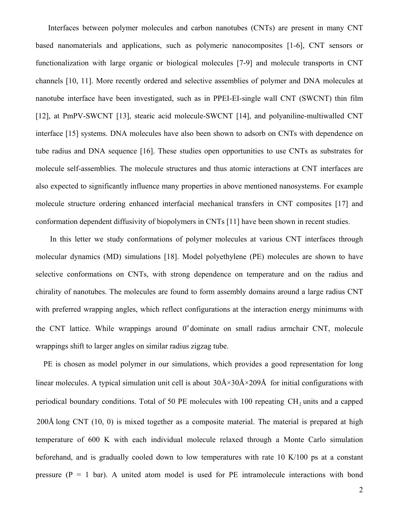Interfaces between polymer molecules and carbon nanotubes (CNTs) are present in many CNT based nanomaterials and applications, such as polymeric nanocomposites [1-6], CNT sensors or functionalization with large organic or biological molecules [7-9] and molecule transports in CNT channels [10, 11]. More recently ordered and selective assemblies of polymer and DNA molecules at nanotube interface have been investigated, such as in PPEI-EI-single wall CNT (SWCNT) thin film [12], at PmPV-SWCNT [13], stearic acid molecule-SWCNT [14], and polyaniline-multiwalled CNT interface [15] systems. DNA molecules have also been shown to adsorb on CNTs with dependence on tube radius and DNA sequence [16]. These studies open opportunities to use CNTs as substrates for molecule self-assemblies. The molecule structures and thus atomic interactions at CNT interfaces are also expected to significantly influence many properties in above mentioned nanosystems. For example molecule structure ordering enhanced interfacial mechanical transfers in CNT composites [17] and conformation dependent diffusivity of biopolymers in CNTs [11] have been shown in recent studies.

 In this letter we study conformations of polymer molecules at various CNT interfaces through molecular dynamics (MD) simulations [18]. Model polyethylene (PE) molecules are shown to have selective conformations on CNTs, with strong dependence on temperature and on the radius and chirality of nanotubes. The molecules are found to form assembly domains around a large radius CNT with preferred wrapping angles, which reflect configurations at the interaction energy minimums with the CNT lattice. While wrappings around  $0^{\circ}$  dominate on small radius armchair CNT, molecule wrappings shift to larger angles on similar radius zigzag tube.

 PE is chosen as model polymer in our simulations, which provides a good representation for long linear molecules. A typical simulation unit cell is about  $30\text{\AA} \times 30\text{\AA} \times 209\text{\AA}$  for initial configurations with periodical boundary conditions. Total of 50 PE molecules with 100 repeating CH<sub>2</sub> units and a capped 200Å long CNT (10, 0) is mixed together as a composite material. The material is prepared at high temperature of 600 K with each individual molecule relaxed through a Monte Carlo simulation beforehand, and is gradually cooled down to low temperatures with rate 10 K/100 ps at a constant pressure  $(P = 1$  bar). A united atom model is used for PE intramolecule interactions with bond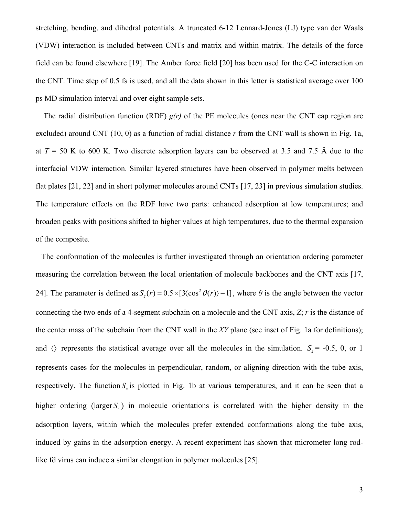stretching, bending, and dihedral potentials. A truncated 6-12 Lennard-Jones (LJ) type van der Waals (VDW) interaction is included between CNTs and matrix and within matrix. The details of the force field can be found elsewhere [19]. The Amber force field [20] has been used for the C-C interaction on the CNT. Time step of 0.5 fs is used, and all the data shown in this letter is statistical average over 100 ps MD simulation interval and over eight sample sets.

 The radial distribution function (RDF) *g(r)* of the PE molecules (ones near the CNT cap region are excluded) around CNT (10, 0) as a function of radial distance *r* from the CNT wall is shown in Fig. 1a, at  $T = 50$  K to 600 K. Two discrete adsorption layers can be observed at 3.5 and 7.5 Å due to the interfacial VDW interaction. Similar layered structures have been observed in polymer melts between flat plates [21, 22] and in short polymer molecules around CNTs [17, 23] in previous simulation studies. The temperature effects on the RDF have two parts: enhanced adsorption at low temperatures; and broaden peaks with positions shifted to higher values at high temperatures, due to the thermal expansion of the composite.

 The conformation of the molecules is further investigated through an orientation ordering parameter measuring the correlation between the local orientation of molecule backbones and the CNT axis [17, 24]. The parameter is defined as  $S_z(r) = 0.5 \times [3 \langle \cos^2 \theta(r) \rangle - 1]$ , where  $\theta$  is the angle between the vector connecting the two ends of a 4-segment subchain on a molecule and the CNT axis, *Z*; *r* is the distance of the center mass of the subchain from the CNT wall in the *XY* plane (see inset of Fig. 1a for definitions); and  $\langle$  represents the statistical average over all the molecules in the simulation. *S<sub>z</sub>* = -0.5, 0, or 1 represents cases for the molecules in perpendicular, random, or aligning direction with the tube axis, respectively. The function *S*<sub>z</sub> is plotted in Fig. 1b at various temperatures, and it can be seen that a higher ordering (larger *S*<sub>1</sub>) in molecule orientations is correlated with the higher density in the adsorption layers, within which the molecules prefer extended conformations along the tube axis, induced by gains in the adsorption energy. A recent experiment has shown that micrometer long rodlike fd virus can induce a similar elongation in polymer molecules [25].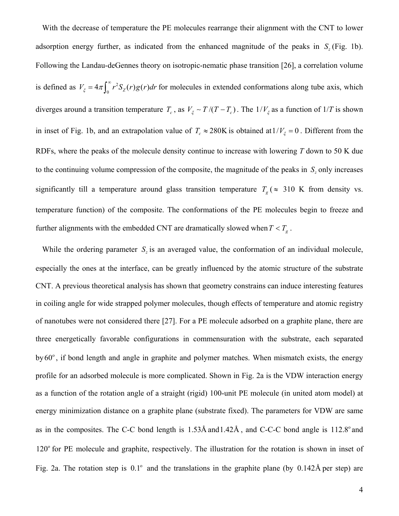With the decrease of temperature the PE molecules rearrange their alignment with the CNT to lower adsorption energy further, as indicated from the enhanced magnitude of the peaks in  $S_z$  (Fig. 1b). Following the Landau-deGennes theory on isotropic-nematic phase transition [26], a correlation volume is defined as  $V_{\xi} = 4\pi \int_0^{\infty} r^2 S_z(r) g(r) dr$  for molecules in extended conformations along tube axis, which diverges around a transition temperature  $T_c$ , as  $V_f \sim T/(T - T_c)$ . The  $1/V_f$  as a function of  $1/T$  is shown in inset of Fig. 1b, and an extrapolation value of  $T_c \approx 280$ K is obtained at  $1/V_\zeta = 0$ . Different from the RDFs, where the peaks of the molecule density continue to increase with lowering *T* down to 50 K due to the continuing volume compression of the composite, the magnitude of the peaks in *S*<sub>*z*</sub> only increases significantly till a temperature around glass transition temperature  $T_g$  ( $\approx$  310 K from density vs. temperature function) of the composite. The conformations of the PE molecules begin to freeze and further alignments with the embedded CNT are dramatically slowed when  $T < T_g$ .

While the ordering parameter  $S_z$  is an averaged value, the conformation of an individual molecule, especially the ones at the interface, can be greatly influenced by the atomic structure of the substrate CNT. A previous theoretical analysis has shown that geometry constrains can induce interesting features in coiling angle for wide strapped polymer molecules, though effects of temperature and atomic registry of nanotubes were not considered there [27]. For a PE molecule adsorbed on a graphite plane, there are three energetically favorable configurations in commensuration with the substrate, each separated by  $60^\circ$ , if bond length and angle in graphite and polymer matches. When mismatch exists, the energy profile for an adsorbed molecule is more complicated. Shown in Fig. 2a is the VDW interaction energy as a function of the rotation angle of a straight (rigid) 100-unit PE molecule (in united atom model) at energy minimization distance on a graphite plane (substrate fixed). The parameters for VDW are same as in the composites. The C-C bond length is  $1.53\text{\AA}$  and  $1.42\text{\AA}$ , and C-C-C bond angle is  $112.8^\circ$  and  $120^{\circ}$  for PE molecule and graphite, respectively. The illustration for the rotation is shown in inset of Fig. 2a. The rotation step is  $0.1^{\circ}$  and the translations in the graphite plane (by  $0.142\text{\AA}$  per step) are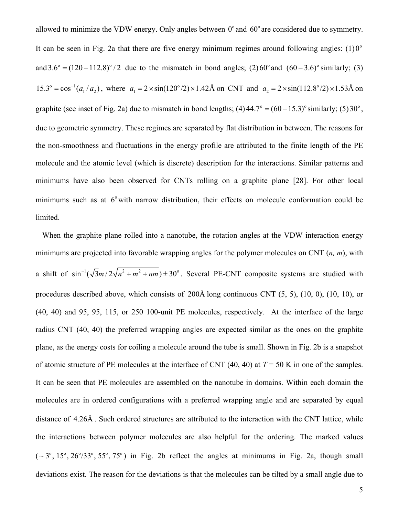allowed to minimize the VDW energy. Only angles between  $0^{\circ}$  and  $60^{\circ}$  are considered due to symmetry. It can be seen in Fig. 2a that there are five energy minimum regimes around following angles:  $(1)0^{\circ}$ and  $3.6^{\circ} = (120 - 112.8)^{\circ}/2$  due to the mismatch in bond angles; (2)  $60^{\circ}$  and  $(60 - 3.6)^{\circ}$  similarly; (3)  $15.3^\circ = \cos^{-1}(a_1/a_2)$ , where  $a_1 = 2 \times \sin(120^\circ/2) \times 1.42$ Å on CNT and  $a_2 = 2 \times \sin(112.8^\circ/2) \times 1.53$ Å on graphite (see inset of Fig. 2a) due to mismatch in bond lengths;  $(4)$  44.7° =  $(60 - 15.3)$ ° similarly;  $(5)$  30°, due to geometric symmetry. These regimes are separated by flat distribution in between. The reasons for the non-smoothness and fluctuations in the energy profile are attributed to the finite length of the PE molecule and the atomic level (which is discrete) description for the interactions. Similar patterns and minimums have also been observed for CNTs rolling on a graphite plane [28]. For other local minimums such as at  $6^{\circ}$  with narrow distribution, their effects on molecule conformation could be limited.

When the graphite plane rolled into a nanotube, the rotation angles at the VDW interaction energy minimums are projected into favorable wrapping angles for the polymer molecules on CNT (*n, m*), with a shift of  $\sin^{-1}(\sqrt{3}m/2\sqrt{n^2 + m^2 + nm}) \pm 30^\circ$ . Several PE-CNT composite systems are studied with procedures described above, which consists of 200Å long continuous CNT (5, 5), (10, 0), (10, 10), or (40, 40) and 95, 95, 115, or 250 100-unit PE molecules, respectively. At the interface of the large radius CNT (40, 40) the preferred wrapping angles are expected similar as the ones on the graphite plane, as the energy costs for coiling a molecule around the tube is small. Shown in Fig. 2b is a snapshot of atomic structure of PE molecules at the interface of CNT  $(40, 40)$  at  $T = 50$  K in one of the samples. It can be seen that PE molecules are assembled on the nanotube in domains. Within each domain the molecules are in ordered configurations with a preferred wrapping angle and are separated by equal distance of 4.26Å . Such ordered structures are attributed to the interaction with the CNT lattice, while the interactions between polymer molecules are also helpful for the ordering. The marked values  $(-3^{\circ}, 15^{\circ}, 26^{\circ}/33^{\circ}, 55^{\circ}, 75^{\circ})$  in Fig. 2b reflect the angles at minimums in Fig. 2a, though small deviations exist. The reason for the deviations is that the molecules can be tilted by a small angle due to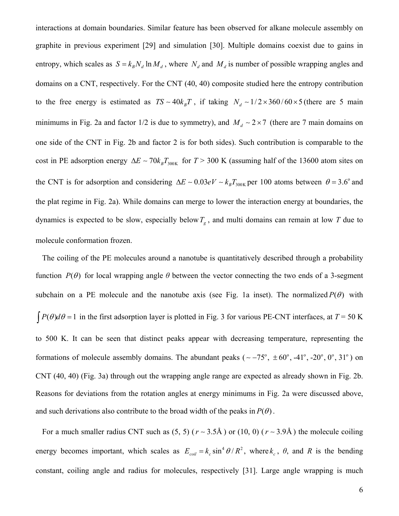interactions at domain boundaries. Similar feature has been observed for alkane molecule assembly on graphite in previous experiment [29] and simulation [30]. Multiple domains coexist due to gains in entropy, which scales as  $S = k_B N_d \ln M_d$ , where  $N_d$  and  $M_d$  is number of possible wrapping angles and domains on a CNT, respectively. For the CNT (40, 40) composite studied here the entropy contribution to the free energy is estimated as  $TS \sim 40 k_B T$ , if taking  $N_d \sim 1/2 \times 360 / 60 \times 5$  (there are 5 main minimums in Fig. 2a and factor 1/2 is due to symmetry), and  $M_d \sim 2 \times 7$  (there are 7 main domains on one side of the CNT in Fig. 2b and factor 2 is for both sides). Such contribution is comparable to the cost in PE adsorption energy  $\Delta E \sim 70 k_B T_{300K}$  for  $T > 300$  K (assuming half of the 13600 atom sites on the CNT is for adsorption and considering  $\Delta E \sim 0.03 eV - k_B T_{300K}$  per 100 atoms between  $\theta = 3.6^\circ$  and the plat regime in Fig. 2a). While domains can merge to lower the interaction energy at boundaries, the dynamics is expected to be slow, especially below  $T<sub>g</sub>$ , and multi domains can remain at low  $T$  due to molecule conformation frozen.

The coiling of the PE molecules around a nanotube is quantitatively described through a probability function  $P(\theta)$  for local wrapping angle  $\theta$  between the vector connecting the two ends of a 3-segment subchain on a PE molecule and the nanotube axis (see Fig. 1a inset). The normalized  $P(\theta)$  with  $\int P(\theta) d\theta = 1$  in the first adsorption layer is plotted in Fig. 3 for various PE-CNT interfaces, at *T* = 50 K to 500 K. It can be seen that distinct peaks appear with decreasing temperature, representing the formations of molecule assembly domains. The abundant peaks ( $\sim -75^\circ$ ,  $\pm 60^\circ$ , -41°, -20°, 0°, 31°) on CNT (40, 40) (Fig. 3a) through out the wrapping angle range are expected as already shown in Fig. 2b. Reasons for deviations from the rotation angles at energy minimums in Fig. 2a were discussed above, and such derivations also contribute to the broad width of the peaks in  $P(\theta)$ .

For a much smaller radius CNT such as  $(5, 5)$  ( $r \sim 3.5\text{\AA}$ ) or (10, 0) ( $r \sim 3.9\text{\AA}$ ) the molecule coiling energy becomes important, which scales as  $E_{coil} = k_c \sin^4 \theta / R^2$ , where  $k_c$ ,  $\theta$ , and *R* is the bending constant, coiling angle and radius for molecules, respectively [31]. Large angle wrapping is much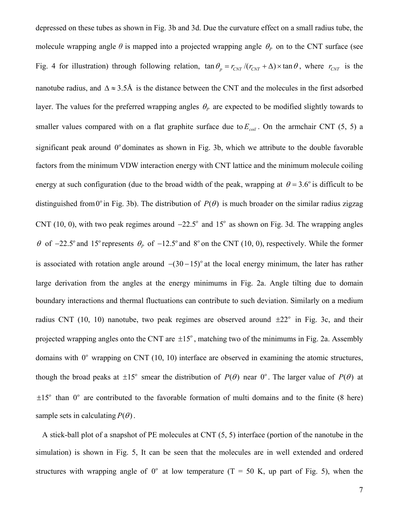depressed on these tubes as shown in Fig. 3b and 3d. Due the curvature effect on a small radius tube, the molecule wrapping angle  $\theta$  is mapped into a projected wrapping angle  $\theta$ <sub>*P*</sub> on to the CNT surface (see Fig. 4 for illustration) through following relation,  $\tan \theta_p = r_{CNT}/(r_{CNT} + \Delta) \times \tan \theta$ , where  $r_{CNT}$  is the nanotube radius, and  $\Delta \approx 3.5\text{\AA}$  is the distance between the CNT and the molecules in the first adsorbed layer. The values for the preferred wrapping angles  $\theta_p$  are expected to be modified slightly towards to smaller values compared with on a flat graphite surface due to  $E_{coil}$ . On the armchair CNT (5, 5) a significant peak around  $0^{\circ}$  dominates as shown in Fig. 3b, which we attribute to the double favorable factors from the minimum VDW interaction energy with CNT lattice and the minimum molecule coiling energy at such configuration (due to the broad width of the peak, wrapping at  $\theta = 3.6^{\circ}$  is difficult to be distinguished from 0<sup>°</sup> in Fig. 3b). The distribution of  $P(\theta)$  is much broader on the similar radius zigzag CNT (10, 0), with two peak regimes around  $-22.5^{\circ}$  and 15° as shown on Fig. 3d. The wrapping angles θ of  $-22.5^\circ$  and 15° represents  $θ$ <sub>*P*</sub> of  $-12.5^\circ$  and  $8^\circ$  on the CNT (10, 0), respectively. While the former is associated with rotation angle around  $-(30-15)^\circ$  at the local energy minimum, the later has rather large derivation from the angles at the energy minimums in Fig. 2a. Angle tilting due to domain boundary interactions and thermal fluctuations can contribute to such deviation. Similarly on a medium radius CNT (10, 10) nanotube, two peak regimes are observed around  $\pm 22^{\circ}$  in Fig. 3c, and their projected wrapping angles onto the CNT are  $\pm 15^\circ$ , matching two of the minimums in Fig. 2a. Assembly domains with  $0^{\circ}$  wrapping on CNT (10, 10) interface are observed in examining the atomic structures, though the broad peaks at  $\pm 15^\circ$  smear the distribution of  $P(\theta)$  near  $0^\circ$ . The larger value of  $P(\theta)$  at  $\pm 15^\circ$  than 0° are contributed to the favorable formation of multi domains and to the finite (8 here) sample sets in calculating  $P(\theta)$ .

A stick-ball plot of a snapshot of PE molecules at CNT (5, 5) interface (portion of the nanotube in the simulation) is shown in Fig. 5, It can be seen that the molecules are in well extended and ordered structures with wrapping angle of  $0^{\circ}$  at low temperature (T = 50 K, up part of Fig. 5), when the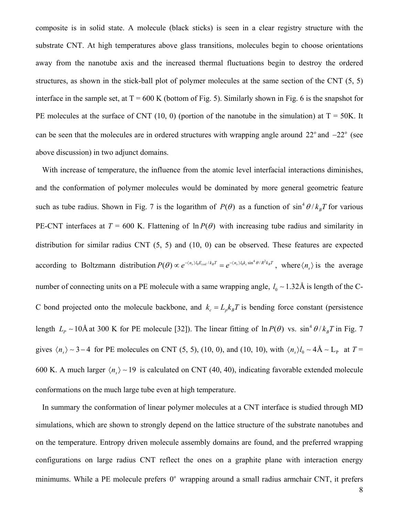composite is in solid state. A molecule (black sticks) is seen in a clear registry structure with the substrate CNT. At high temperatures above glass transitions, molecules begin to choose orientations away from the nanotube axis and the increased thermal fluctuations begin to destroy the ordered structures, as shown in the stick-ball plot of polymer molecules at the same section of the CNT (5, 5) interface in the sample set, at  $T = 600$  K (bottom of Fig. 5). Similarly shown in Fig. 6 is the snapshot for PE molecules at the surface of CNT (10, 0) (portion of the nanotube in the simulation) at  $T = 50K$ . It can be seen that the molecules are in ordered structures with wrapping angle around  $22^{\circ}$  and  $-22^{\circ}$  (see above discussion) in two adjunct domains.

With increase of temperature, the influence from the atomic level interfacial interactions diminishes, and the conformation of polymer molecules would be dominated by more general geometric feature such as tube radius. Shown in Fig. 7 is the logarithm of  $P(\theta)$  as a function of  $\sin^4 \theta / k_B T$  for various PE-CNT interfaces at  $T = 600$  K. Flattening of  $\ln P(\theta)$  with increasing tube radius and similarity in distribution for similar radius CNT (5, 5) and (10, 0) can be observed. These features are expected according to Boltzmann distribution  $P(\theta) \propto e^{-(n_s)l_0E_{coll}/k_BT} = e^{-(n_s)l_0k_c\sin^4\theta/R^2k_BT}$ , where  $\langle n_s \rangle$  is the average number of connecting units on a PE molecule with a same wrapping angle, *l*<sub>0</sub> ∼ 1.32Å is length of the C-C bond projected onto the molecule backbone, and  $k_c = L_p k_B T$  is bending force constant (persistence length  $L_p \sim 10$ Å at 300 K for PE molecule [32]). The linear fitting of  $\ln P(\theta)$  vs.  $\sin^4 \theta / k_B T$  in Fig. 7 gives  $\langle n_s \rangle \sim 3 - 4$  for PE molecules on CNT (5, 5), (10, 0), and (10, 10), with  $\langle n_s \rangle l_0 \sim 4 \text{\AA} \sim L_p$  at  $T =$ 600 K. A much larger  $\langle n_e \rangle \sim 19$  is calculated on CNT (40, 40), indicating favorable extended molecule conformations on the much large tube even at high temperature.

In summary the conformation of linear polymer molecules at a CNT interface is studied through MD simulations, which are shown to strongly depend on the lattice structure of the substrate nanotubes and on the temperature. Entropy driven molecule assembly domains are found, and the preferred wrapping configurations on large radius CNT reflect the ones on a graphite plane with interaction energy minimums. While a PE molecule prefers  $0^{\circ}$  wrapping around a small radius armchair CNT, it prefers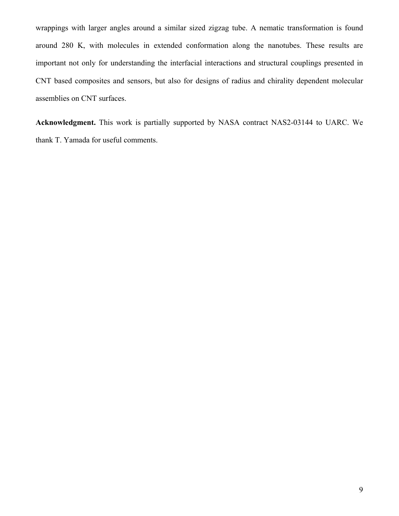wrappings with larger angles around a similar sized zigzag tube. A nematic transformation is found around 280 K, with molecules in extended conformation along the nanotubes. These results are important not only for understanding the interfacial interactions and structural couplings presented in CNT based composites and sensors, but also for designs of radius and chirality dependent molecular assemblies on CNT surfaces.

**Acknowledgment.** This work is partially supported by NASA contract NAS2-03144 to UARC. We thank T. Yamada for useful comments.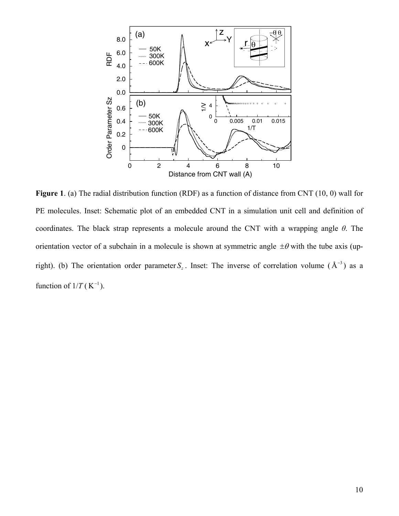

**Figure 1**. (a) The radial distribution function (RDF) as a function of distance from CNT (10, 0) wall for PE molecules. Inset: Schematic plot of an embedded CNT in a simulation unit cell and definition of coordinates. The black strap represents a molecule around the CNT with a wrapping angle *θ*. The orientation vector of a subchain in a molecule is shown at symmetric angle  $\pm\theta$  with the tube axis (upright). (b) The orientation order parameter  $S_z$ . Inset: The inverse of correlation volume ( $A^{-3}$ ) as a function of  $1/T$  (K<sup>-1</sup>).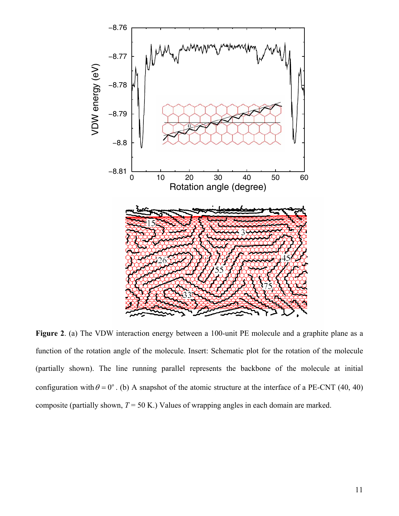

**Figure 2**. (a) The VDW interaction energy between a 100-unit PE molecule and a graphite plane as a function of the rotation angle of the molecule. Insert: Schematic plot for the rotation of the molecule (partially shown). The line running parallel represents the backbone of the molecule at initial configuration with  $\theta = 0^{\circ}$ . (b) A snapshot of the atomic structure at the interface of a PE-CNT (40, 40) composite (partially shown, *T* = 50 K.) Values of wrapping angles in each domain are marked.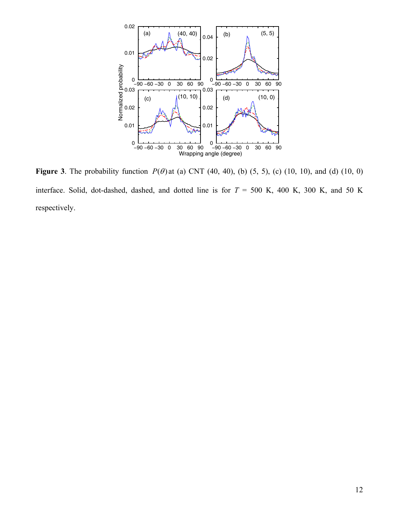

**Figure 3**. The probability function  $P(\theta)$  at (a) CNT (40, 40), (b) (5, 5), (c) (10, 10), and (d) (10, 0) interface. Solid, dot-dashed, dashed, and dotted line is for  $T = 500$  K, 400 K, 300 K, and 50 K respectively.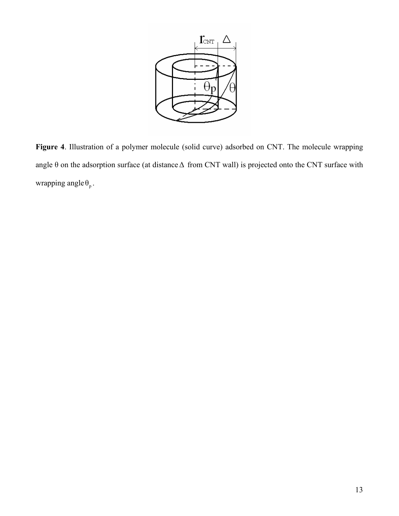

**Figure 4**. Illustration of a polymer molecule (solid curve) adsorbed on CNT. The molecule wrapping angle θ on the adsorption surface (at distance∆ from CNT wall) is projected onto the CNT surface with wrapping angle  $\theta_p$ .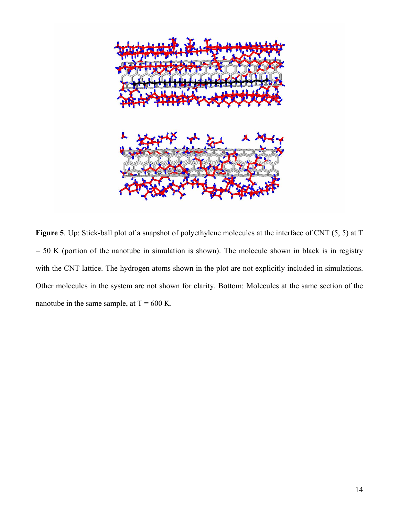

**Figure 5**. Up: Stick-ball plot of a snapshot of polyethylene molecules at the interface of CNT (5, 5) at T  $= 50$  K (portion of the nanotube in simulation is shown). The molecule shown in black is in registry with the CNT lattice. The hydrogen atoms shown in the plot are not explicitly included in simulations. Other molecules in the system are not shown for clarity. Bottom: Molecules at the same section of the nanotube in the same sample, at  $T = 600$  K.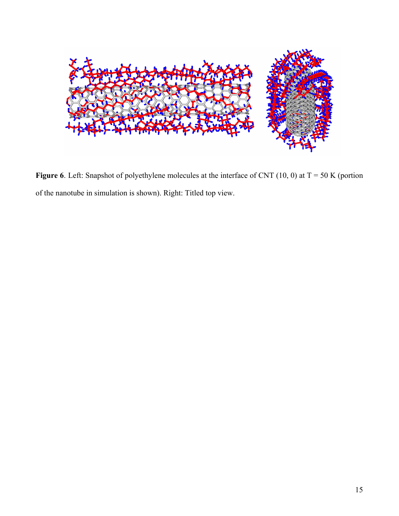

**Figure 6**. Left: Snapshot of polyethylene molecules at the interface of CNT (10, 0) at  $T = 50$  K (portion of the nanotube in simulation is shown). Right: Titled top view.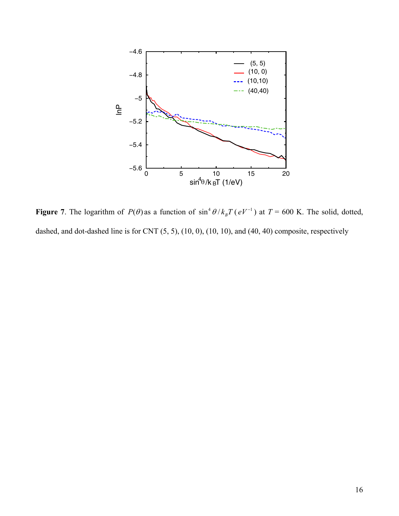

**Figure 7**. The logarithm of  $P(\theta)$  as a function of  $\sin^4 \theta / k_B T (eV^{-1})$  at  $T = 600$  K. The solid, dotted, dashed, and dot-dashed line is for CNT (5, 5), (10, 0), (10, 10), and (40, 40) composite, respectively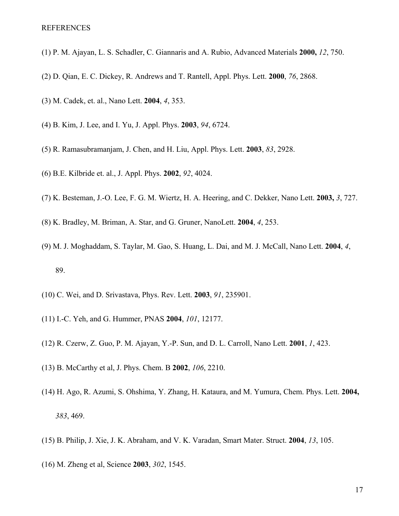- (1) P. M. Ajayan, L. S. Schadler, C. Giannaris and A. Rubio, Advanced Materials **2000,** *12*, 750.
- (2) D. Qian, E. C. Dickey, R. Andrews and T. Rantell, Appl. Phys. Lett. **2000**, *76*, 2868.
- (3) M. Cadek, et. al., Nano Lett. **2004**, *4*, 353.
- (4) B. Kim, J. Lee, and I. Yu, J. Appl. Phys. **2003**, *94*, 6724.
- (5) R. Ramasubramanjam, J. Chen, and H. Liu, Appl. Phys. Lett. **2003**, *83*, 2928.
- (6) B.E. Kilbride et. al., J. Appl. Phys. **2002**, *92*, 4024.
- (7) K. Besteman, J.-O. Lee, F. G. M. Wiertz, H. A. Heering, and C. Dekker, Nano Lett. **2003,** *3*, 727.
- (8) K. Bradley, M. Briman, A. Star, and G. Gruner, NanoLett. **2004**, *4*, 253.
- (9) M. J. Moghaddam, S. Taylar, M. Gao, S. Huang, L. Dai, and M. J. McCall, Nano Lett. **2004**, *4*, 89.
- (10) C. Wei, and D. Srivastava, Phys. Rev. Lett. **2003**, *91*, 235901.
- (11) I.-C. Yeh, and G. Hummer, PNAS **2004**, *101*, 12177.
- (12) R. Czerw, Z. Guo, P. M. Ajayan, Y.-P. Sun, and D. L. Carroll, Nano Lett. **2001**, *1*, 423.
- (13) B. McCarthy et al, J. Phys. Chem. B **2002**, *106*, 2210.
- (14) H. Ago, R. Azumi, S. Ohshima, Y. Zhang, H. Kataura, and M. Yumura, Chem. Phys. Lett. **2004,** *383*, 469.
- (15) B. Philip, J. Xie, J. K. Abraham, and V. K. Varadan, Smart Mater. Struct. **2004**, *13*, 105.
- (16) M. Zheng et al, Science **2003**, *302*, 1545.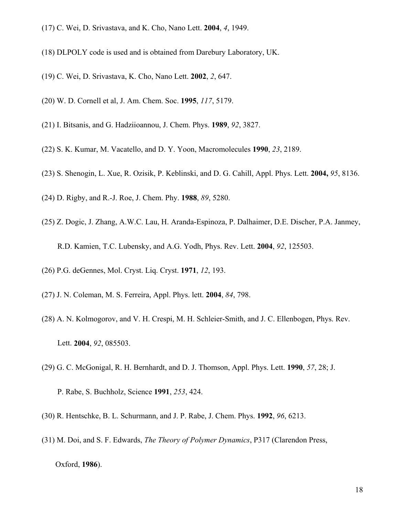- (17) C. Wei, D. Srivastava, and K. Cho, Nano Lett. **2004**, *4*, 1949.
- (18) DLPOLY code is used and is obtained from Darebury Laboratory, UK.
- (19) C. Wei, D. Srivastava, K. Cho, Nano Lett. **2002**, *2*, 647.
- (20) W. D. Cornell et al, J. Am. Chem. Soc. **1995**, *117*, 5179.
- (21) I. Bitsanis, and G. Hadziioannou, J. Chem. Phys. **1989**, *92*, 3827.
- (22) S. K. Kumar, M. Vacatello, and D. Y. Yoon, Macromolecules **1990**, *23*, 2189.
- (23) S. Shenogin, L. Xue, R. Ozisik, P. Keblinski, and D. G. Cahill, Appl. Phys. Lett. **2004,** *95*, 8136.
- (24) D. Rigby, and R.-J. Roe, J. Chem. Phy. **1988**, *89*, 5280.
- (25) Z. Dogic, J. Zhang, A.W.C. Lau, H. Aranda-Espinoza, P. Dalhaimer, D.E. Discher, P.A. Janmey, R.D. Kamien, T.C. Lubensky, and A.G. Yodh, Phys. Rev. Lett. **2004**, *92*, 125503.
- (26) P.G. deGennes, Mol. Cryst. Liq. Cryst. **1971**, *12*, 193.
- (27) J. N. Coleman, M. S. Ferreira, Appl. Phys. lett. **2004**, *84*, 798.
- (28) A. N. Kolmogorov, and V. H. Crespi, M. H. Schleier-Smith, and J. C. Ellenbogen, Phys. Rev. Lett. **2004**, *92*, 085503.
- (29) G. C. McGonigal, R. H. Bernhardt, and D. J. Thomson, Appl. Phys. Lett. **1990**, *57*, 28; J.
	- P. Rabe, S. Buchholz, Science **1991**, *253*, 424.
- (30) R. Hentschke, B. L. Schurmann, and J. P. Rabe, J. Chem. Phys. **1992**, *96*, 6213.
- (31) M. Doi, and S. F. Edwards, *The Theory of Polymer Dynamics*, P317 (Clarendon Press,

Oxford, **1986**).